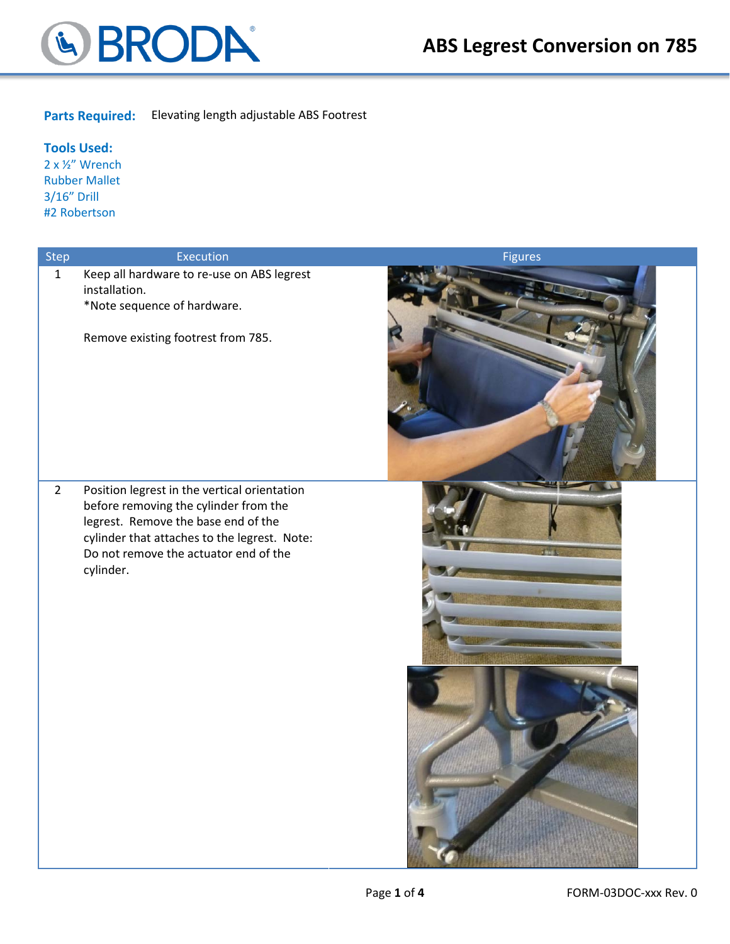

#### **Parts Required:** Elevating length adjustable ABS Footrest

#### **Tools Used:**

2 x ½" Wrench Rubber Mallet 3/16" Drill #2 Robertson

| Step           | Execution                                                                                                                                                                                                                          | <b>Figures</b> |
|----------------|------------------------------------------------------------------------------------------------------------------------------------------------------------------------------------------------------------------------------------|----------------|
| $\mathbf{1}$   | Keep all hardware to re-use on ABS legrest<br>installation.<br>*Note sequence of hardware.<br>Remove existing footrest from 785.                                                                                                   |                |
| $\overline{2}$ | Position legrest in the vertical orientation<br>before removing the cylinder from the<br>legrest. Remove the base end of the<br>cylinder that attaches to the legrest. Note:<br>Do not remove the actuator end of the<br>cylinder. |                |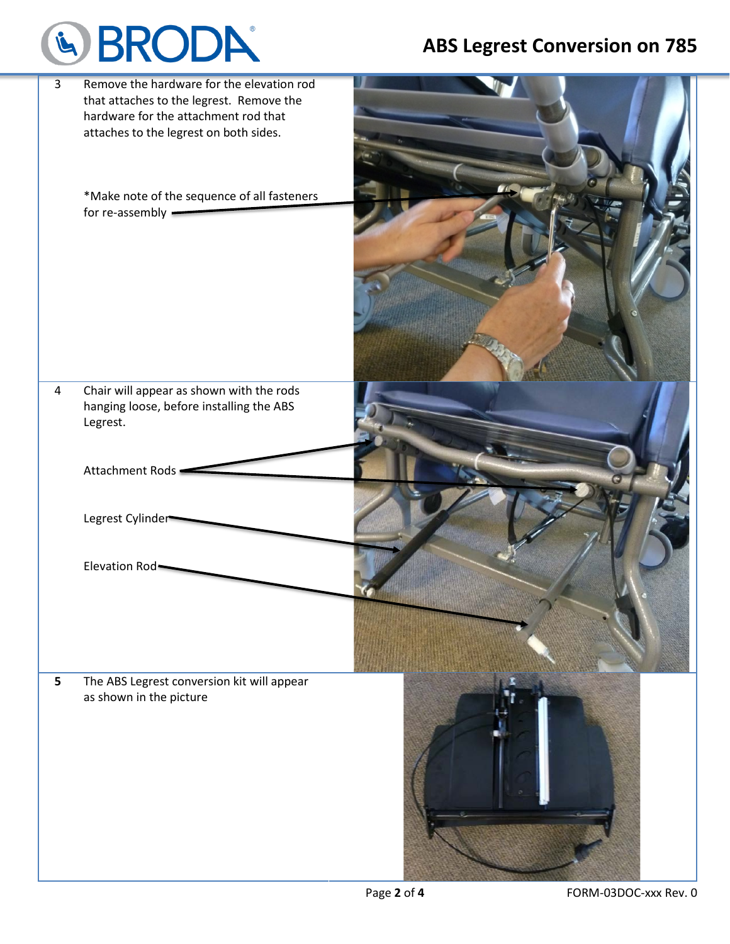# & BRODA®

### **ABS Legrest Conversion on 785**

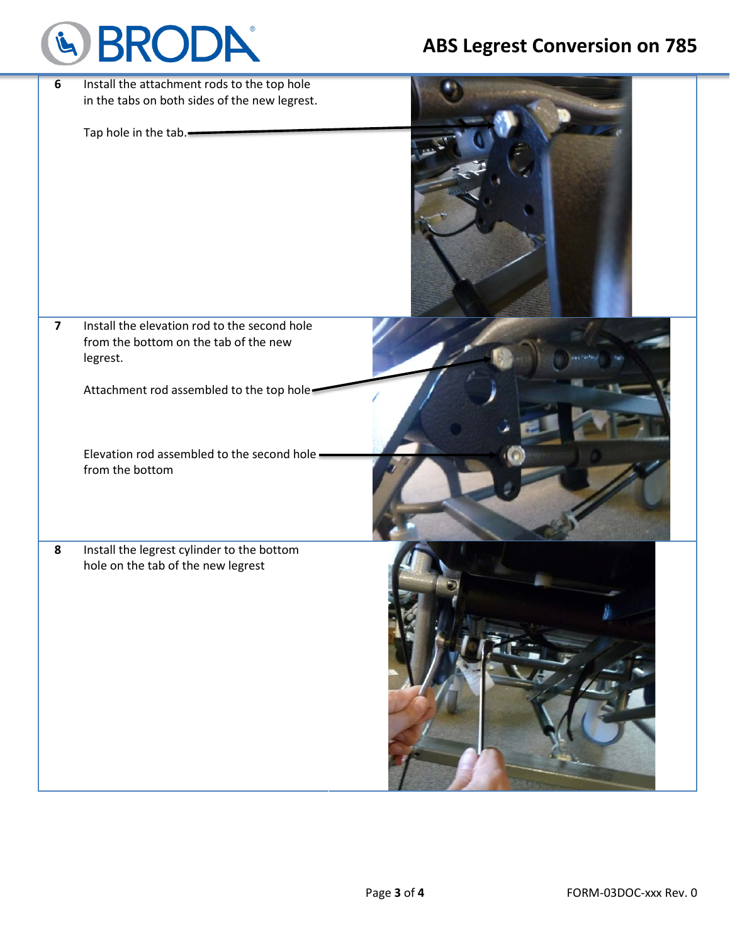## & BRODA®

## **ABS Legrest Conversion on 785**

| $6\phantom{a}$<br>$\overline{\mathbf{z}}$ | Install the attachment rods to the top hole<br>in the tabs on both sides of the new legrest.<br>Tap hole in the tab.<br>Install the elevation rod to the second hole |  |
|-------------------------------------------|----------------------------------------------------------------------------------------------------------------------------------------------------------------------|--|
|                                           | from the bottom on the tab of the new<br>legrest.                                                                                                                    |  |
|                                           | Attachment rod assembled to the top hole-                                                                                                                            |  |
|                                           | Elevation rod assembled to the second hole -<br>from the bottom                                                                                                      |  |
| 8                                         | Install the legrest cylinder to the bottom<br>hole on the tab of the new legrest                                                                                     |  |